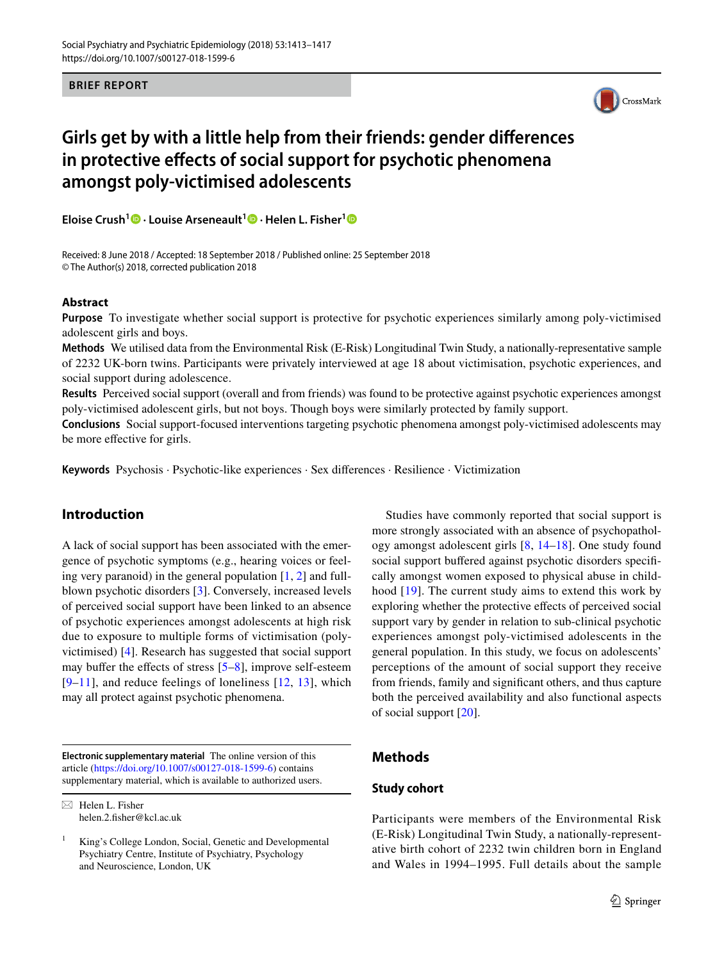#### **BRIEF REPORT**



# **Girls get by with a little help from their friends: gender differences in protective effects of social support for psychotic phenomena amongst poly-victimised adolescents**

**Eloise Crush<sup>[1](http://orcid.org/0000-0003-4174-2126)</sup><sup></sup> • Louise Arseneault<sup>1</sup>** • Helen L. Fisher<sup>1</sup><sup></sup>

Received: 8 June 2018 / Accepted: 18 September 2018 / Published online: 25 September 2018 © The Author(s) 2018, corrected publication 2018

#### **Abstract**

**Purpose** To investigate whether social support is protective for psychotic experiences similarly among poly-victimised adolescent girls and boys.

**Methods** We utilised data from the Environmental Risk (E-Risk) Longitudinal Twin Study, a nationally-representative sample of 2232 UK-born twins. Participants were privately interviewed at age 18 about victimisation, psychotic experiences, and social support during adolescence.

**Results** Perceived social support (overall and from friends) was found to be protective against psychotic experiences amongst poly-victimised adolescent girls, but not boys. Though boys were similarly protected by family support.

**Conclusions** Social support-focused interventions targeting psychotic phenomena amongst poly-victimised adolescents may be more effective for girls.

**Keywords** Psychosis · Psychotic-like experiences · Sex differences · Resilience · Victimization

# **Introduction**

A lack of social support has been associated with the emergence of psychotic symptoms (e.g., hearing voices or feeling very paranoid) in the general population  $[1, 2]$  $[1, 2]$  $[1, 2]$  and fullblown psychotic disorders [\[3](#page-3-2)]. Conversely, increased levels of perceived social support have been linked to an absence of psychotic experiences amongst adolescents at high risk due to exposure to multiple forms of victimisation (polyvictimised) [[4\]](#page-3-3). Research has suggested that social support may buffer the effects of stress [[5–](#page-3-4)[8](#page-3-5)], improve self-esteem  $[9-11]$  $[9-11]$  $[9-11]$ , and reduce feelings of loneliness  $[12, 13]$  $[12, 13]$  $[12, 13]$  $[12, 13]$ , which may all protect against psychotic phenomena.

**Electronic supplementary material** The online version of this article [\(https://doi.org/10.1007/s00127-018-1599-6\)](https://doi.org/10.1007/s00127-018-1599-6) contains supplementary material, which is available to authorized users.

 $\boxtimes$  Helen L. Fisher helen.2.fisher@kcl.ac.uk

Studies have commonly reported that social support is more strongly associated with an absence of psychopathology amongst adolescent girls [[8,](#page-3-5) [14](#page-3-10)[–18\]](#page-3-11). One study found social support buffered against psychotic disorders specifically amongst women exposed to physical abuse in childhood [[19](#page-3-12)]. The current study aims to extend this work by exploring whether the protective effects of perceived social support vary by gender in relation to sub-clinical psychotic experiences amongst poly-victimised adolescents in the general population. In this study, we focus on adolescents' perceptions of the amount of social support they receive from friends, family and significant others, and thus capture both the perceived availability and also functional aspects of social support [\[20\]](#page-4-0).

## **Methods**

## **Study cohort**

Participants were members of the Environmental Risk (E-Risk) Longitudinal Twin Study, a nationally-representative birth cohort of 2232 twin children born in England and Wales in 1994–1995. Full details about the sample

King's College London, Social, Genetic and Developmental Psychiatry Centre, Institute of Psychiatry, Psychology and Neuroscience, London, UK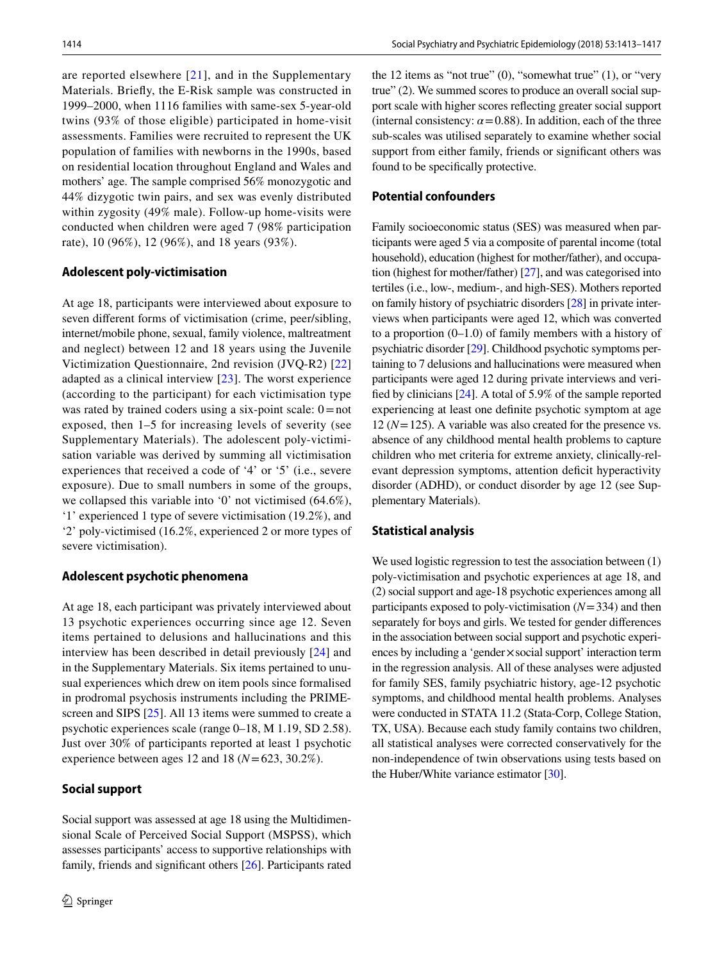are reported elsewhere  $[21]$  $[21]$  $[21]$ , and in the Supplementary Materials. Briefly, the E-Risk sample was constructed in 1999–2000, when 1116 families with same-sex 5-year-old twins (93% of those eligible) participated in home-visit assessments. Families were recruited to represent the UK population of families with newborns in the 1990s, based on residential location throughout England and Wales and mothers' age. The sample comprised 56% monozygotic and 44% dizygotic twin pairs, and sex was evenly distributed within zygosity (49% male). Follow-up home-visits were conducted when children were aged 7 (98% participation rate), 10 (96%), 12 (96%), and 18 years (93%).

#### **Adolescent poly‑victimisation**

At age 18, participants were interviewed about exposure to seven different forms of victimisation (crime, peer/sibling, internet/mobile phone, sexual, family violence, maltreatment and neglect) between 12 and 18 years using the Juvenile Victimization Questionnaire, 2nd revision (JVQ-R2) [[22\]](#page-4-2) adapted as a clinical interview [\[23](#page-4-3)]. The worst experience (according to the participant) for each victimisation type was rated by trained coders using a six-point scale:  $0 = not$ exposed, then 1–5 for increasing levels of severity (see Supplementary Materials). The adolescent poly-victimisation variable was derived by summing all victimisation experiences that received a code of '4' or '5' (i.e., severe exposure). Due to small numbers in some of the groups, we collapsed this variable into '0' not victimised (64.6%), '1' experienced 1 type of severe victimisation (19.2%), and '2' poly-victimised (16.2%, experienced 2 or more types of severe victimisation).

#### **Adolescent psychotic phenomena**

At age 18, each participant was privately interviewed about 13 psychotic experiences occurring since age 12. Seven items pertained to delusions and hallucinations and this interview has been described in detail previously [[24](#page-4-4)] and in the Supplementary Materials. Six items pertained to unusual experiences which drew on item pools since formalised in prodromal psychosis instruments including the PRIME-screen and SIPS [\[25](#page-4-5)]. All 13 items were summed to create a psychotic experiences scale (range 0–18, M 1.19, SD 2.58). Just over 30% of participants reported at least 1 psychotic experience between ages 12 and 18 ( $N = 623$ , 30.2%).

#### **Social support**

Social support was assessed at age 18 using the Multidimensional Scale of Perceived Social Support (MSPSS), which assesses participants' access to supportive relationships with family, friends and significant others [[26\]](#page-4-6). Participants rated the 12 items as "not true"  $(0)$ , "somewhat true"  $(1)$ , or "very true" (2). We summed scores to produce an overall social support scale with higher scores reflecting greater social support (internal consistency:  $\alpha$  = 0.88). In addition, each of the three sub-scales was utilised separately to examine whether social support from either family, friends or significant others was found to be specifically protective.

#### **Potential confounders**

Family socioeconomic status (SES) was measured when participants were aged 5 via a composite of parental income (total household), education (highest for mother/father), and occupation (highest for mother/father) [\[27](#page-4-7)], and was categorised into tertiles (i.e., low-, medium-, and high-SES). Mothers reported on family history of psychiatric disorders [[28\]](#page-4-8) in private interviews when participants were aged 12, which was converted to a proportion (0–1.0) of family members with a history of psychiatric disorder [\[29](#page-4-9)]. Childhood psychotic symptoms pertaining to 7 delusions and hallucinations were measured when participants were aged 12 during private interviews and verified by clinicians [[24\]](#page-4-4). A total of 5.9% of the sample reported experiencing at least one definite psychotic symptom at age 12 (*N*=125). A variable was also created for the presence vs. absence of any childhood mental health problems to capture children who met criteria for extreme anxiety, clinically-relevant depression symptoms, attention deficit hyperactivity disorder (ADHD), or conduct disorder by age 12 (see Supplementary Materials).

#### **Statistical analysis**

We used logistic regression to test the association between (1) poly-victimisation and psychotic experiences at age 18, and (2) social support and age-18 psychotic experiences among all participants exposed to poly-victimisation (*N*=334) and then separately for boys and girls. We tested for gender differences in the association between social support and psychotic experiences by including a 'gender $\times$ social support' interaction term in the regression analysis. All of these analyses were adjusted for family SES, family psychiatric history, age-12 psychotic symptoms, and childhood mental health problems. Analyses were conducted in STATA 11.2 (Stata-Corp, College Station, TX, USA). Because each study family contains two children, all statistical analyses were corrected conservatively for the non-independence of twin observations using tests based on the Huber/White variance estimator [[30\]](#page-4-10).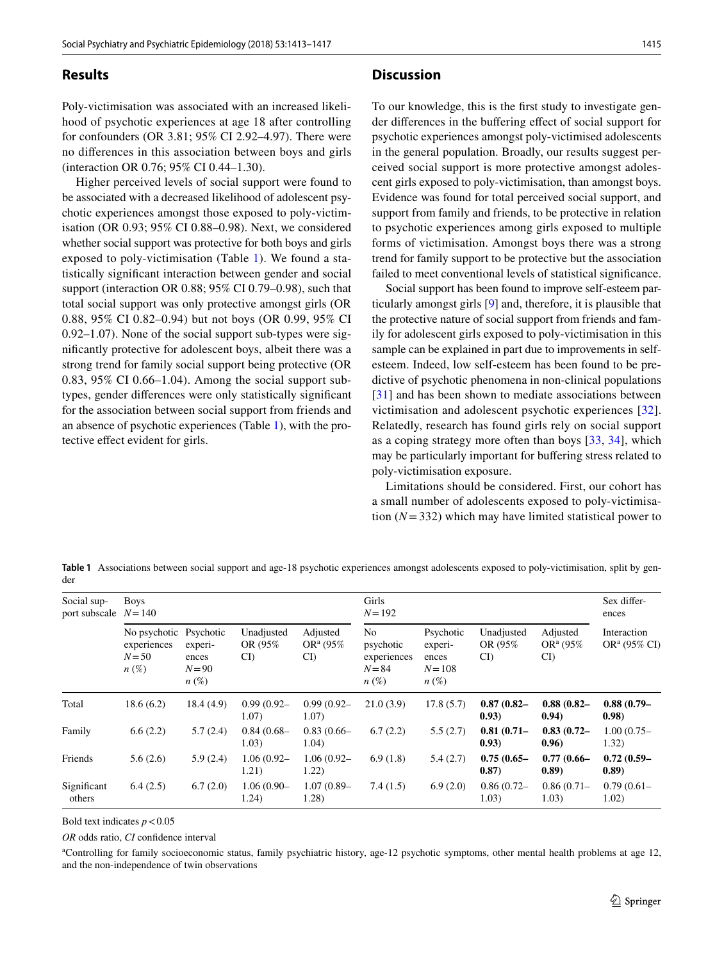## **Results**

Poly-victimisation was associated with an increased likelihood of psychotic experiences at age 18 after controlling for confounders (OR 3.81; 95% CI 2.92–4.97). There were no differences in this association between boys and girls (interaction OR 0.76; 95% CI 0.44–1.30).

Higher perceived levels of social support were found to be associated with a decreased likelihood of adolescent psychotic experiences amongst those exposed to poly-victimisation (OR 0.93; 95% CI 0.88–0.98). Next, we considered whether social support was protective for both boys and girls exposed to poly-victimisation (Table [1](#page-2-0)). We found a statistically significant interaction between gender and social support (interaction OR 0.88; 95% CI 0.79–0.98), such that total social support was only protective amongst girls (OR 0.88, 95% CI 0.82–0.94) but not boys (OR 0.99, 95% CI 0.92–1.07). None of the social support sub-types were significantly protective for adolescent boys, albeit there was a strong trend for family social support being protective (OR 0.83, 95% CI 0.66–1.04). Among the social support subtypes, gender differences were only statistically significant for the association between social support from friends and an absence of psychotic experiences (Table [1\)](#page-2-0), with the protective effect evident for girls.

#### **Discussion**

To our knowledge, this is the first study to investigate gender differences in the buffering effect of social support for psychotic experiences amongst poly-victimised adolescents in the general population. Broadly, our results suggest perceived social support is more protective amongst adolescent girls exposed to poly-victimisation, than amongst boys. Evidence was found for total perceived social support, and support from family and friends, to be protective in relation to psychotic experiences among girls exposed to multiple forms of victimisation. Amongst boys there was a strong trend for family support to be protective but the association failed to meet conventional levels of statistical significance.

Social support has been found to improve self-esteem particularly amongst girls [[9](#page-3-6)] and, therefore, it is plausible that the protective nature of social support from friends and family for adolescent girls exposed to poly-victimisation in this sample can be explained in part due to improvements in selfesteem. Indeed, low self-esteem has been found to be predictive of psychotic phenomena in non-clinical populations [[31\]](#page-4-11) and has been shown to mediate associations between victimisation and adolescent psychotic experiences [[32](#page-4-12)]. Relatedly, research has found girls rely on social support as a coping strategy more often than boys [[33,](#page-4-13) [34\]](#page-4-14), which may be particularly important for buffering stress related to poly-victimisation exposure.

Limitations should be considered. First, our cohort has a small number of adolescents exposed to poly-victimisation  $(N=332)$  which may have limited statistical power to

<span id="page-2-0"></span>**Table 1** Associations between social support and age-18 psychotic experiences amongst adolescents exposed to poly-victimisation, split by gender

| Social sup-<br>port subscale | <b>Boys</b><br>$N = 140$                           |                                                      |                               |                               | Girls<br>$N = 192$                                                |                                                       |                               |                               | Sex differ-<br>ences           |
|------------------------------|----------------------------------------------------|------------------------------------------------------|-------------------------------|-------------------------------|-------------------------------------------------------------------|-------------------------------------------------------|-------------------------------|-------------------------------|--------------------------------|
|                              | No psychotic<br>experiences<br>$N = 50$<br>$n(\%)$ | Psychotic<br>experi-<br>ences<br>$N = 90$<br>$n(\%)$ | Unadjusted<br>OR (95%)<br>CI) | Adjusted<br>$OR^a(95%$<br>CI) | N <sub>0</sub><br>psychotic<br>experiences<br>$N = 84$<br>$n(\%)$ | Psychotic<br>experi-<br>ences<br>$N = 108$<br>$n(\%)$ | Unadjusted<br>OR (95%)<br>CI) | Adjusted<br>$OR^a(95%$<br>CI) | Interaction<br>$OR^a$ (95% CI) |
| Total                        | 18.6(6.2)                                          | 18.4(4.9)                                            | $0.99(0.92 -$<br>1.07)        | $0.99(0.92 -$<br>1.07)        | 21.0(3.9)                                                         | 17.8(5.7)                                             | $0.87(0.82 -$<br>(0.93)       | $0.88(0.82 -$<br>0.94)        | $0.88(0.79-$<br>(0.98)         |
| Family                       | 6.6(2.2)                                           | 5.7(2.4)                                             | $0.84(0.68 -$<br>1.03)        | $0.83(0.66-$<br>1.04)         | 6.7(2.2)                                                          | 5.5(2.7)                                              | $0.81(0.71 -$<br>(0.93)       | $0.83(0.72 -$<br>0.96)        | $1.00(0.75 -$<br>1.32)         |
| Friends                      | 5.6(2.6)                                           | 5.9(2.4)                                             | $1.06(0.92 -$<br>1.21)        | $1.06(0.92 -$<br>1.22)        | 6.9(1.8)                                                          | 5.4(2.7)                                              | $0.75(0.65 -$<br>0.87)        | $0.77(0.66 -$<br>(0.89)       | $0.72(0.59 -$<br>(0.89)        |
| Significant<br>others        | 6.4(2.5)                                           | 6.7(2.0)                                             | $1.06(0.90 -$<br>1.24)        | $1.07(0.89 -$<br>1.28)        | 7.4(1.5)                                                          | 6.9(2.0)                                              | $0.86(0.72 -$<br>1.03)        | 0.86(0.71)<br>1.03)           | $0.79(0.61 -$<br>1.02)         |

Bold text indicates  $p < 0.05$ 

*OR* odds ratio, *CI* confidence interval

a Controlling for family socioeconomic status, family psychiatric history, age-12 psychotic symptoms, other mental health problems at age 12, and the non-independence of twin observations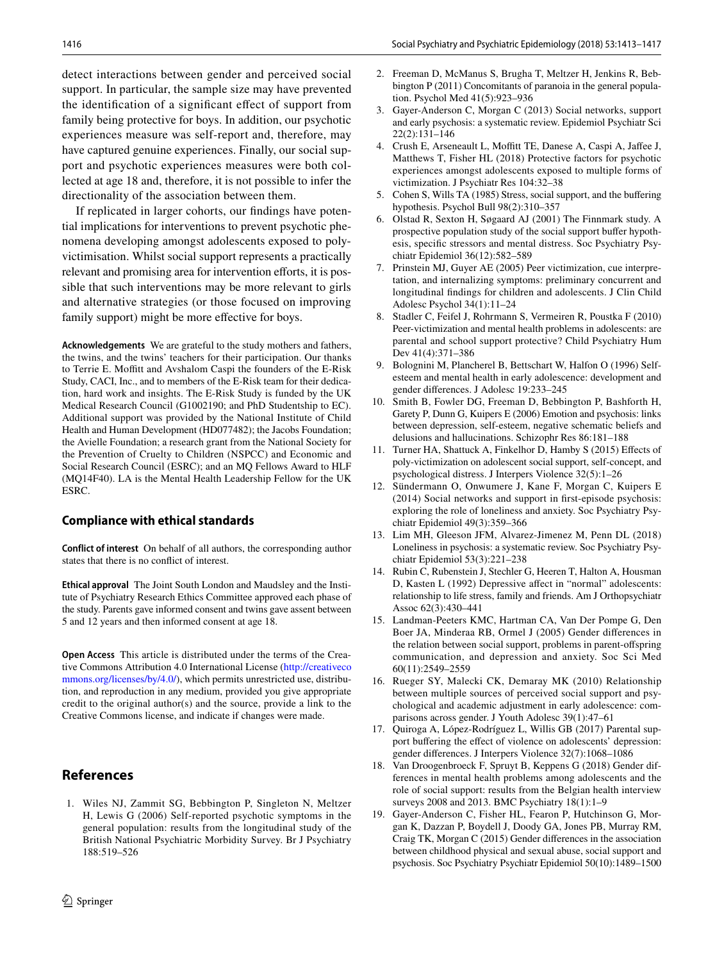detect interactions between gender and perceived social support. In particular, the sample size may have prevented the identification of a significant effect of support from family being protective for boys. In addition, our psychotic experiences measure was self-report and, therefore, may have captured genuine experiences. Finally, our social support and psychotic experiences measures were both collected at age 18 and, therefore, it is not possible to infer the directionality of the association between them.

If replicated in larger cohorts, our findings have potential implications for interventions to prevent psychotic phenomena developing amongst adolescents exposed to polyvictimisation. Whilst social support represents a practically relevant and promising area for intervention efforts, it is possible that such interventions may be more relevant to girls and alternative strategies (or those focused on improving family support) might be more effective for boys.

**Acknowledgements** We are grateful to the study mothers and fathers, the twins, and the twins' teachers for their participation. Our thanks to Terrie E. Moffitt and Avshalom Caspi the founders of the E-Risk Study, CACI, Inc., and to members of the E-Risk team for their dedication, hard work and insights. The E-Risk Study is funded by the UK Medical Research Council (G1002190; and PhD Studentship to EC). Additional support was provided by the National Institute of Child Health and Human Development (HD077482); the Jacobs Foundation; the Avielle Foundation; a research grant from the National Society for the Prevention of Cruelty to Children (NSPCC) and Economic and Social Research Council (ESRC); and an MQ Fellows Award to HLF (MQ14F40). LA is the Mental Health Leadership Fellow for the UK ESRC.

## **Compliance with ethical standards**

**Conflict of interest** On behalf of all authors, the corresponding author states that there is no conflict of interest.

**Ethical approval** The Joint South London and Maudsley and the Institute of Psychiatry Research Ethics Committee approved each phase of the study. Parents gave informed consent and twins gave assent between 5 and 12 years and then informed consent at age 18.

**Open Access** This article is distributed under the terms of the Creative Commons Attribution 4.0 International License [\(http://creativeco](http://creativecommons.org/licenses/by/4.0/) [mmons.org/licenses/by/4.0/](http://creativecommons.org/licenses/by/4.0/)), which permits unrestricted use, distribution, and reproduction in any medium, provided you give appropriate credit to the original author(s) and the source, provide a link to the Creative Commons license, and indicate if changes were made.

# **References**

<span id="page-3-0"></span>1. Wiles NJ, Zammit SG, Bebbington P, Singleton N, Meltzer H, Lewis G (2006) Self-reported psychotic symptoms in the general population: results from the longitudinal study of the British National Psychiatric Morbidity Survey. Br J Psychiatry 188:519–526

- <span id="page-3-1"></span>2. Freeman D, McManus S, Brugha T, Meltzer H, Jenkins R, Bebbington P (2011) Concomitants of paranoia in the general population. Psychol Med 41(5):923–936
- <span id="page-3-2"></span>3. Gayer-Anderson C, Morgan C (2013) Social networks, support and early psychosis: a systematic review. Epidemiol Psychiatr Sci 22(2):131–146
- <span id="page-3-3"></span>4. Crush E, Arseneault L, Moffitt TE, Danese A, Caspi A, Jaffee J, Matthews T, Fisher HL (2018) Protective factors for psychotic experiences amongst adolescents exposed to multiple forms of victimization. J Psychiatr Res 104:32–38
- <span id="page-3-4"></span>5. Cohen S, Wills TA (1985) Stress, social support, and the buffering hypothesis. Psychol Bull 98(2):310–357
- 6. Olstad R, Sexton H, Søgaard AJ (2001) The Finnmark study. A prospective population study of the social support buffer hypothesis, specific stressors and mental distress. Soc Psychiatry Psychiatr Epidemiol 36(12):582–589
- 7. Prinstein MJ, Guyer AE (2005) Peer victimization, cue interpretation, and internalizing symptoms: preliminary concurrent and longitudinal findings for children and adolescents. J Clin Child Adolesc Psychol 34(1):11–24
- <span id="page-3-5"></span>8. Stadler C, Feifel J, Rohrmann S, Vermeiren R, Poustka F (2010) Peer-victimization and mental health problems in adolescents: are parental and school support protective? Child Psychiatry Hum Dev 41(4):371–386
- <span id="page-3-6"></span>9. Bolognini M, Plancherel B, Bettschart W, Halfon O (1996) Selfesteem and mental health in early adolescence: development and gender differences. J Adolesc 19:233–245
- 10. Smith B, Fowler DG, Freeman D, Bebbington P, Bashforth H, Garety P, Dunn G, Kuipers E (2006) Emotion and psychosis: links between depression, self-esteem, negative schematic beliefs and delusions and hallucinations. Schizophr Res 86:181–188
- <span id="page-3-7"></span>11. Turner HA, Shattuck A, Finkelhor D, Hamby S (2015) Effects of poly-victimization on adolescent social support, self-concept, and psychological distress. J Interpers Violence 32(5):1–26
- <span id="page-3-8"></span>12. Sündermann O, Onwumere J, Kane F, Morgan C, Kuipers E (2014) Social networks and support in first-episode psychosis: exploring the role of loneliness and anxiety. Soc Psychiatry Psychiatr Epidemiol 49(3):359–366
- <span id="page-3-9"></span>13. Lim MH, Gleeson JFM, Alvarez-Jimenez M, Penn DL (2018) Loneliness in psychosis: a systematic review. Soc Psychiatry Psychiatr Epidemiol 53(3):221–238
- <span id="page-3-10"></span>14. Rubin C, Rubenstein J, Stechler G, Heeren T, Halton A, Housman D, Kasten L (1992) Depressive affect in "normal" adolescents: relationship to life stress, family and friends. Am J Orthopsychiatr Assoc 62(3):430–441
- 15. Landman-Peeters KMC, Hartman CA, Van Der Pompe G, Den Boer JA, Minderaa RB, Ormel J (2005) Gender differences in the relation between social support, problems in parent-offspring communication, and depression and anxiety. Soc Sci Med 60(11):2549–2559
- 16. Rueger SY, Malecki CK, Demaray MK (2010) Relationship between multiple sources of perceived social support and psychological and academic adjustment in early adolescence: comparisons across gender. J Youth Adolesc 39(1):47–61
- 17. Quiroga A, López-Rodríguez L, Willis GB (2017) Parental support buffering the effect of violence on adolescents' depression: gender differences. J Interpers Violence 32(7):1068–1086
- <span id="page-3-11"></span>18. Van Droogenbroeck F, Spruyt B, Keppens G (2018) Gender differences in mental health problems among adolescents and the role of social support: results from the Belgian health interview surveys 2008 and 2013. BMC Psychiatry 18(1):1–9
- <span id="page-3-12"></span>19. Gayer-Anderson C, Fisher HL, Fearon P, Hutchinson G, Morgan K, Dazzan P, Boydell J, Doody GA, Jones PB, Murray RM, Craig TK, Morgan C (2015) Gender differences in the association between childhood physical and sexual abuse, social support and psychosis. Soc Psychiatry Psychiatr Epidemiol 50(10):1489–1500